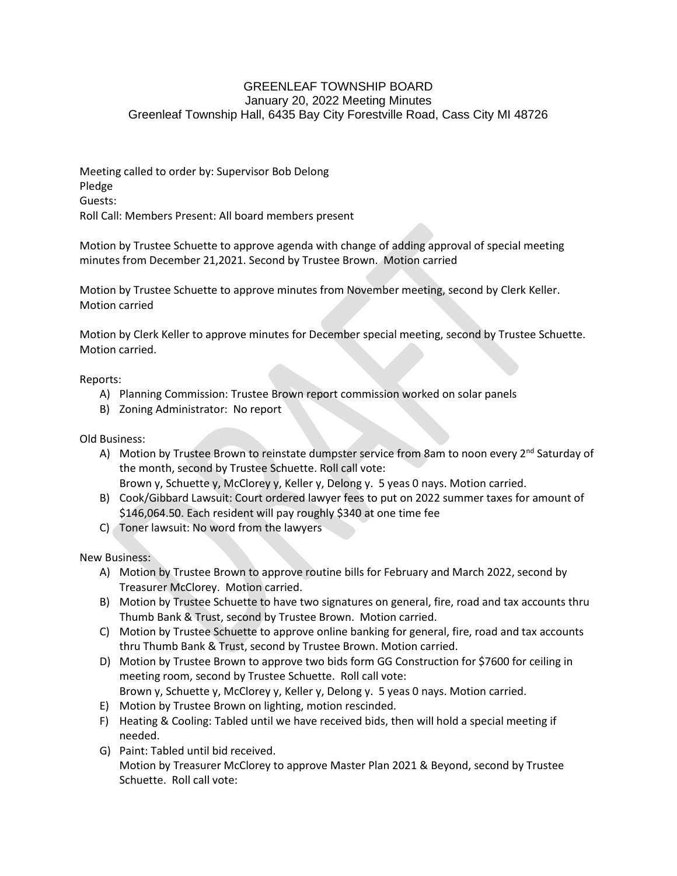## GREENLEAF TOWNSHIP BOARD January 20, 2022 Meeting Minutes Greenleaf Township Hall, 6435 Bay City Forestville Road, Cass City MI 48726

Meeting called to order by: Supervisor Bob Delong Pledge Guests: Roll Call: Members Present: All board members present

Motion by Trustee Schuette to approve agenda with change of adding approval of special meeting minutes from December 21,2021. Second by Trustee Brown. Motion carried

Motion by Trustee Schuette to approve minutes from November meeting, second by Clerk Keller. Motion carried

Motion by Clerk Keller to approve minutes for December special meeting, second by Trustee Schuette. Motion carried.

Reports:

- A) Planning Commission: Trustee Brown report commission worked on solar panels
- B) Zoning Administrator: No report

Old Business:

- A) Motion by Trustee Brown to reinstate dumpster service from 8am to noon every  $2^{nd}$  Saturday of the month, second by Trustee Schuette. Roll call vote: Brown y, Schuette y, McClorey y, Keller y, Delong y. 5 yeas 0 nays. Motion carried.
- B) Cook/Gibbard Lawsuit: Court ordered lawyer fees to put on 2022 summer taxes for amount of \$146,064.50. Each resident will pay roughly \$340 at one time fee
- C) Toner lawsuit: No word from the lawyers

New Business:

- A) Motion by Trustee Brown to approve routine bills for February and March 2022, second by Treasurer McClorey. Motion carried.
- B) Motion by Trustee Schuette to have two signatures on general, fire, road and tax accounts thru Thumb Bank & Trust, second by Trustee Brown. Motion carried.
- C) Motion by Trustee Schuette to approve online banking for general, fire, road and tax accounts thru Thumb Bank & Trust, second by Trustee Brown. Motion carried.
- D) Motion by Trustee Brown to approve two bids form GG Construction for \$7600 for ceiling in meeting room, second by Trustee Schuette. Roll call vote: Brown y, Schuette y, McClorey y, Keller y, Delong y. 5 yeas 0 nays. Motion carried.
- E) Motion by Trustee Brown on lighting, motion rescinded.
- F) Heating & Cooling: Tabled until we have received bids, then will hold a special meeting if needed.
- G) Paint: Tabled until bid received. Motion by Treasurer McClorey to approve Master Plan 2021 & Beyond, second by Trustee Schuette. Roll call vote: